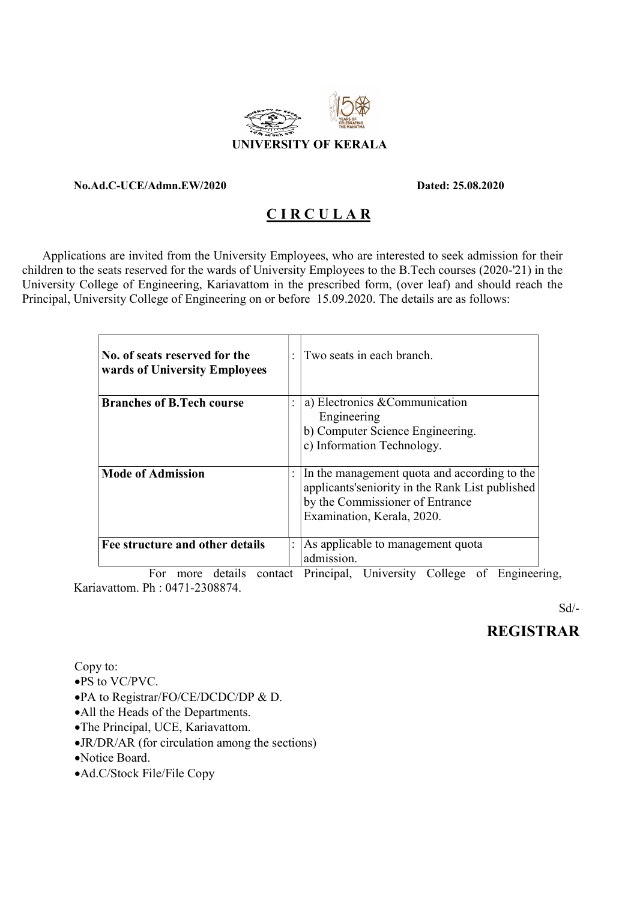

#### No.Ad.C-UCE/Admn.EW/2020 Dated: 25.08.2020

## C I R C U L A R

 Applications are invited from the University Employees, who are interested to seek admission for their children to the seats reserved for the wards of University Employees to the B.Tech courses (2020-'21) in the University College of Engineering, Kariavattom in the prescribed form, (over leaf) and should reach the Principal, University College of Engineering on or before 15.09.2020. The details are as follows:

| No. of seats reserved for the<br>wards of University Employees |                | Two seats in each branch.                                                                                                                                         |
|----------------------------------------------------------------|----------------|-------------------------------------------------------------------------------------------------------------------------------------------------------------------|
| <b>Branches of B.Tech course</b>                               |                | a) Electronics & Communication<br>Engineering<br>b) Computer Science Engineering.<br>c) Information Technology.                                                   |
| <b>Mode of Admission</b>                                       |                | In the management quota and according to the<br>applicants's enjority in the Rank List published<br>by the Commissioner of Entrance<br>Examination, Kerala, 2020. |
| Fee structure and other details                                | $\ddot{\cdot}$ | As applicable to management quota<br>admission.                                                                                                                   |

 For more details contact Principal, University College of Engineering, Kariavattom. Ph : 0471-2308874.

Sd/-

## REGISTRAR

Copy to:

- PS to VC/PVC.
- PA to Registrar/FO/CE/DCDC/DP & D.
- All the Heads of the Departments.
- The Principal, UCE, Kariavattom.
- JR/DR/AR (for circulation among the sections)
- Notice Board.
- Ad.C/Stock File/File Copy